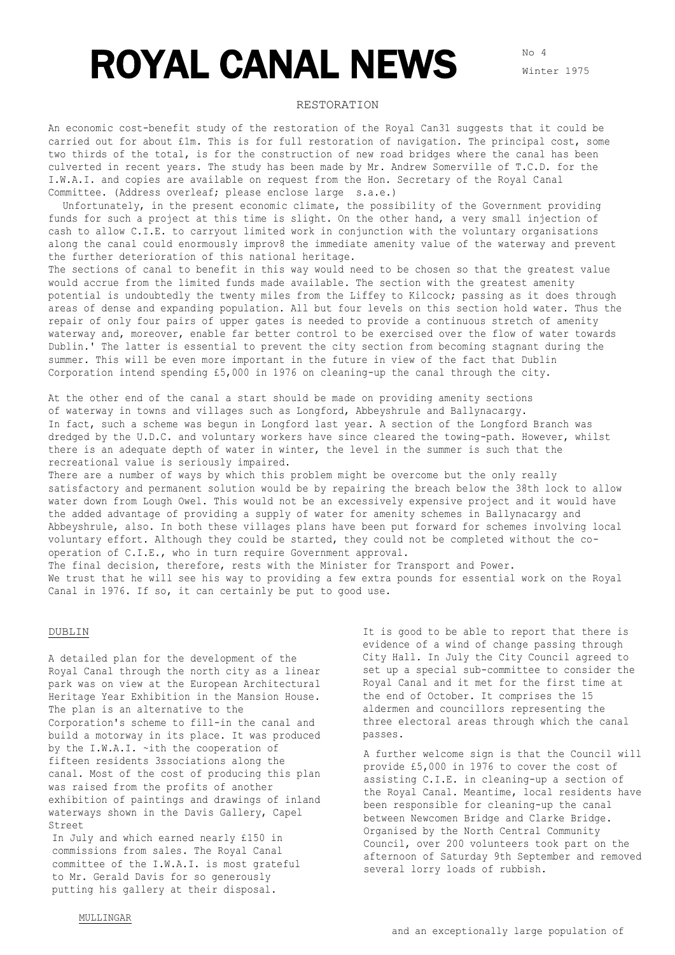# ROYAL CANAL NEWS

## RESTORATION

An economic cost-benefit study of the restoration of the Royal Can31 suggests that it could be carried out for about £1m. This is for full restoration of navigation. The principal cost, some two thirds of the total, is for the construction of new road bridges where the canal has been culverted in recent years. The study has been made by Mr. Andrew Somerville of T.C.D. for the I.W.A.I. and copies are available on request from the Hon. Secretary of the Royal Canal Committee. (Address overleaf; please enclose large s.a.e.)

Unfortunately, in the present economic climate, the possibility of the Government providing funds for such a project at this time is slight. On the other hand, a very small injection of cash to allow C.I.E. to carryout limited work in conjunction with the voluntary organisations along the canal could enormously improv8 the immediate amenity value of the waterway and prevent the further deterioration of this national heritage.

The sections of canal to benefit in this way would need to be chosen so that the greatest value would accrue from the limited funds made available. The section with the greatest amenity potential is undoubtedly the twenty miles from the Liffey to Kilcock; passing as it does through areas of dense and expanding population. All but four levels on this section hold water. Thus the repair of only four pairs of upper gates is needed to provide a continuous stretch of amenity waterway and, moreover, enable far better control to be exercised over the flow of water towards Dublin.' The latter is essential to prevent the city section from becoming stagnant during the summer. This will be even more important in the future in view of the fact that Dublin Corporation intend spending £5,000 in 1976 on cleaning-up the canal through the city.

At the other end of the canal a start should be made on providing amenity sections of waterway in towns and villages such as Longford, Abbeyshrule and Ballynacargy. In fact, such a scheme was begun in Longford last year. A section of the Longford Branch was dredged by the U.D.C. and voluntary workers have since cleared the towing-path. However, whilst there is an adequate depth of water in winter, the level in the summer is such that the recreational value is seriously impaired.

There are a number of ways by which this problem might be overcome but the only really satisfactory and permanent solution would be by repairing the breach below the 38th lock to allow water down from Lough Owel. This would not be an excessively expensive project and it would have the added advantage of providing a supply of water for amenity schemes in Ballynacargy and Abbeyshrule, also. In both these villages plans have been put forward for schemes involving local voluntary effort. Although they could be started, they could not be completed without the cooperation of C.I.E., who in turn require Government approval.

The final decision, therefore, rests with the Minister for Transport and Power. We trust that he will see his way to providing a few extra pounds for essential work on the Royal Canal in 1976. If so, it can certainly be put to good use.

#### DUBLIN

A detailed plan for the development of the Royal Canal through the north city as a linear park was on view at the European Architectural Heritage Year Exhibition in the Mansion House. The plan is an alternative to the Corporation's scheme to fill-in the canal and build a motorway in its place. It was produced by the I.W.A.I. ~ith the cooperation of fifteen residents 3ssociations along the canal. Most of the cost of producing this plan was raised from the profits of another exhibition of paintings and drawings of inland waterways shown in the Davis Gallery, Capel Street

In July and which earned nearly £150 in commissions from sales. The Royal Canal committee of the I.W.A.I. is most grateful to Mr. Gerald Davis for so generously putting his gallery at their disposal.

It is good to be able to report that there is evidence of a wind of change passing through City Hall. In July the City Council agreed to set up a special sub-committee to consider the Royal Canal and it met for the first time at the end of October. It comprises the 15 aldermen and councillors representing the three electoral areas through which the canal passes.

A further welcome sign is that the Council will provide £5,000 in 1976 to cover the cost of assisting C.I.E. in cleaning-up a section of the Royal Canal. Meantime, local residents have been responsible for cleaning-up the canal between Newcomen Bridge and Clarke Bridge. Organised by the North Central Community Council, over 200 volunteers took part on the afternoon of Saturday 9th September and removed several lorry loads of rubbish.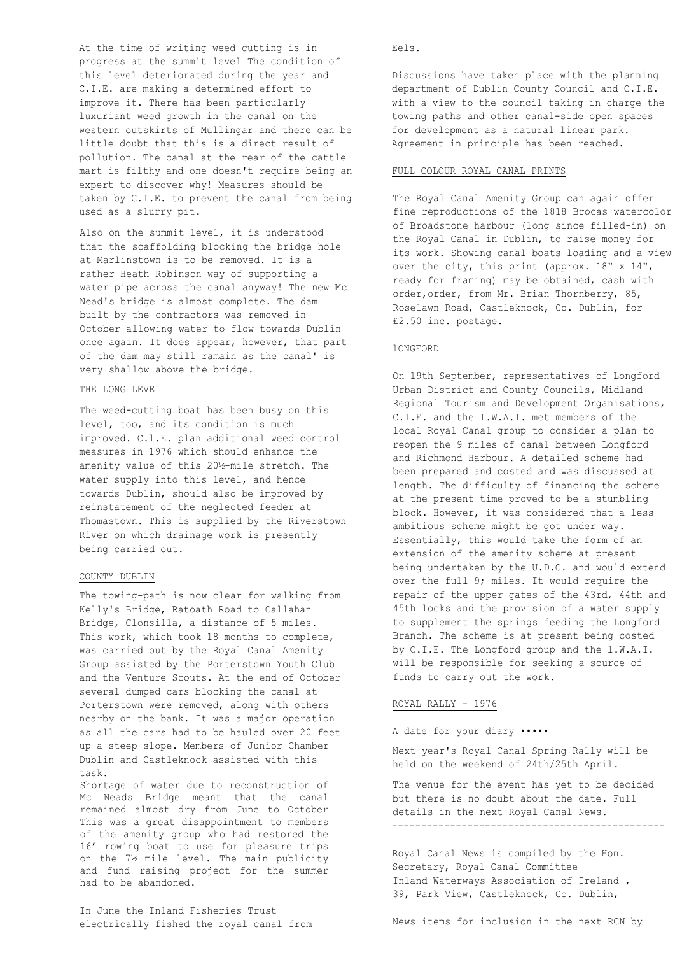At the time of writing weed cutting is in progress at the summit level The condition of this level deteriorated during the year and C.I.E. are making a determined effort to improve it. There has been particularly luxuriant weed growth in the canal on the western outskirts of Mullingar and there can be little doubt that this is a direct result of pollution. The canal at the rear of the cattle mart is filthy and one doesn't require being an expert to discover why! Measures should be taken by C.I.E. to prevent the canal from being used as a slurry pit.

Also on the summit level, it is understood that the scaffolding blocking the bridge hole at Marlinstown is to be removed. It is a rather Heath Robinson way of supporting a water pipe across the canal anyway! The new Mc Nead's bridge is almost complete. The dam built by the contractors was removed in October allowing water to flow towards Dublin once again. It does appear, however, that part of the dam may still ramain as the canal' is very shallow above the bridge.

### THE LONG LEVEL

The weed-cutting boat has been busy on this level, too, and its condition is much improved. C.l.E. plan additional weed control measures in 1976 which should enhance the amenity value of this 20½-mile stretch. The water supply into this level, and hence towards Dublin, should also be improved by reinstatement of the neglected feeder at Thomastown. This is supplied by the Riverstown River on which drainage work is presently being carried out.

## COUNTY DUBLIN

The towing-path is now clear for walking from Kelly's Bridge, Ratoath Road to Callahan Bridge, Clonsilla, a distance of 5 miles. This work, which took 18 months to complete, was carried out by the Royal Canal Amenity Group assisted by the Porterstown Youth Club and the Venture Scouts. At the end of October several dumped cars blocking the canal at Porterstown were removed, along with others nearby on the bank. It was a major operation as all the cars had to be hauled over 20 feet up a steep slope. Members of Junior Chamber Dublin and Castleknock assisted with this task.

Shortage of water due to reconstruction of Mc Neads Bridge meant that the canal remained almost dry from June to October This was a great disappointment to members of the amenity group who had restored the 16' rowing boat to use for pleasure trips on the 7½ mile level. The main publicity and fund raising project for the summer had to be abandoned.

In June the Inland Fisheries Trust electrically fished the royal canal from Eels.

Discussions have taken place with the planning department of Dublin County Council and C.I.E. with a view to the council taking in charge the towing paths and other canal-side open spaces for development as a natural linear park. Agreement in principle has been reached.

#### FULL COLOUR ROYAL CANAL PRINTS

The Royal Canal Amenity Group can again offer fine reproductions of the 1818 Brocas watercolor of Broadstone harbour (long since filled-in) on the Royal Canal in Dublin, to raise money for its work. Showing canal boats loading and a view over the city, this print (approx. 18" x 14", ready for framing) may be obtained, cash with order,order, from Mr. Brian Thornberry, 85, Roselawn Road, Castleknock, Co. Dublin, for £2.50 inc. postage.

#### lONGFORD

On 19th September, representatives of Longford Urban District and County Councils, Midland Regional Tourism and Development Organisations, C.I.E. and the I.W.A.I. met members of the local Royal Canal group to consider a plan to reopen the 9 miles of canal between Longford and Richmond Harbour. A detailed scheme had been prepared and costed and was discussed at length. The difficulty of financing the scheme at the present time proved to be a stumbling block. However, it was considered that a less ambitious scheme might be got under way. Essentially, this would take the form of an extension of the amenity scheme at present being undertaken by the U.D.C. and would extend over the full 9; miles. It would require the repair of the upper gates of the 43rd, 44th and 45th locks and the provision of a water supply to supplement the springs feeding the Longford Branch. The scheme is at present being costed by C.I.E. The Longford group and the l.W.A.I. will be responsible for seeking a source of funds to carry out the work.

## ROYAL RALLY - 1976

## A date for your diary •••••

Next year's Royal Canal Spring Rally will be held on the weekend of 24th/25th April.

The venue for the event has yet to be decided but there is no doubt about the date. Full details in the next Royal Canal News. -----------------------------------------------

Royal Canal News is compiled by the Hon. Secretary, Royal Canal Committee Inland Waterways Association of Ireland , 39, Park View, Castleknock, Co. Dublin,

News items for inclusion in the next RCN by